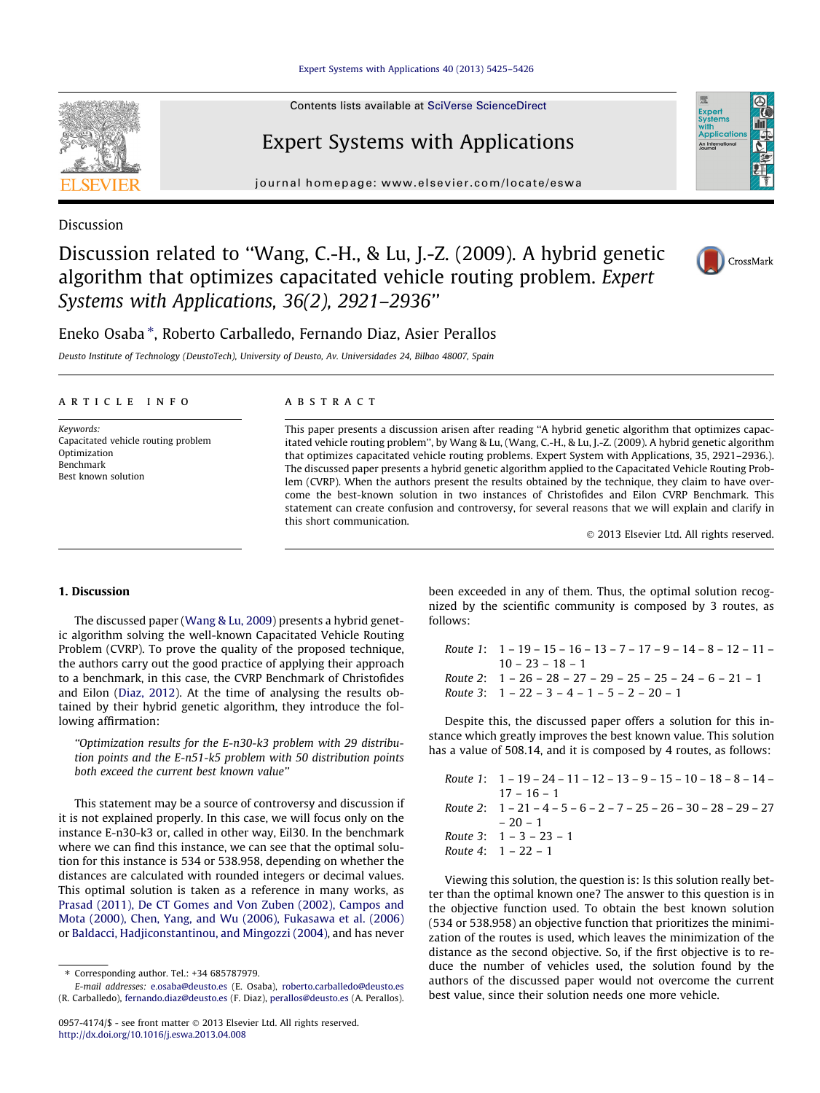[Expert Systems with Applications 40 \(2013\) 5425–5426](http://dx.doi.org/10.1016/j.eswa.2013.04.008)

Contents lists available at [SciVerse ScienceDirect](http://www.sciencedirect.com/science/journal/09574174)

# Expert Systems with Applications

journal homepage: [www.elsevier.com/locate/eswa](http://www.elsevier.com/locate/eswa)

Discussion

Discussion related to ''Wang, C.-H., & Lu, J.-Z. (2009). A hybrid genetic algorithm that optimizes capacitated vehicle routing problem. Expert Systems with Applications, 36(2), 2921–2936''

## Eneko Osaba ⇑ , Roberto Carballedo, Fernando Diaz, Asier Perallos

Deusto Institute of Technology (DeustoTech), University of Deusto, Av. Universidades 24, Bilbao 48007, Spain

#### article info

Keywords: Capacitated vehicle routing problem Optimization Benchmark Best known solution

#### **ABSTRACT**

This paper presents a discussion arisen after reading ''A hybrid genetic algorithm that optimizes capacitated vehicle routing problem'', by Wang & Lu, (Wang, C.-H., & Lu, J.-Z. (2009). A hybrid genetic algorithm that optimizes capacitated vehicle routing problems. Expert System with Applications, 35, 2921–2936.). The discussed paper presents a hybrid genetic algorithm applied to the Capacitated Vehicle Routing Problem (CVRP). When the authors present the results obtained by the technique, they claim to have overcome the best-known solution in two instances of Christofides and Eilon CVRP Benchmark. This statement can create confusion and controversy, for several reasons that we will explain and clarify in this short communication.

- 2013 Elsevier Ltd. All rights reserved.

## 1. Discussion

The discussed paper [\(Wang & Lu, 2009\)](#page-1-0) presents a hybrid genetic algorithm solving the well-known Capacitated Vehicle Routing Problem (CVRP). To prove the quality of the proposed technique, the authors carry out the good practice of applying their approach to a benchmark, in this case, the CVRP Benchmark of Christofides and Eilon [\(Diaz, 2012](#page-1-0)). At the time of analysing the results obtained by their hybrid genetic algorithm, they introduce the following affirmation:

''Optimization results for the E-n30-k3 problem with 29 distribution points and the E-n51-k5 problem with 50 distribution points both exceed the current best known value''

This statement may be a source of controversy and discussion if it is not explained properly. In this case, we will focus only on the instance E-n30-k3 or, called in other way, Eil30. In the benchmark where we can find this instance, we can see that the optimal solution for this instance is 534 or 538.958, depending on whether the distances are calculated with rounded integers or decimal values. This optimal solution is taken as a reference in many works, as [Prasad \(2011\), De CT Gomes and Von Zuben \(2002\), Campos and](#page-1-0) [Mota \(2000\), Chen, Yang, and Wu \(2006\), Fukasawa et al. \(2006\)](#page-1-0) or [Baldacci, Hadjiconstantinou, and Mingozzi \(2004\),](#page-1-0) and has never

been exceeded in any of them. Thus, the optimal solution recognized by the scientific community is composed by 3 routes, as follows:

Route 1: 1 – 19 – 15 – 16 – 13 – 7 – 17 – 9 – 14 – 8 – 12 – 11 –  $10 - 23 - 18 - 1$ Route 2: 1 – 26 – 28 – 27 – 29 – 25 – 25 – 24 – 6 – 21 – 1 Route 3:  $1 - 22 - 3 - 4 - 1 - 5 - 2 - 20 - 1$ 

Despite this, the discussed paper offers a solution for this instance which greatly improves the best known value. This solution has a value of 508.14, and it is composed by 4 routes, as follows:

Route 1: 1 – 19 – 24 – 11 – 12 – 13 – 9 – 15 – 10 – 18 – 8 – 14 –  $17 - 16 - 1$ Route 2:  $1 - 21 - 4 - 5 - 6 - 2 - 7 - 25 - 26 - 30 - 28 - 29 - 27$ – 20 – 1 Route 3: 1 – 3 – 23 – 1 Route 4: 1 – 22 – 1

Viewing this solution, the question is: Is this solution really better than the optimal known one? The answer to this question is in the objective function used. To obtain the best known solution (534 or 538.958) an objective function that prioritizes the minimization of the routes is used, which leaves the minimization of the distance as the second objective. So, if the first objective is to reduce the number of vehicles used, the solution found by the authors of the discussed paper would not overcome the current best value, since their solution needs one more vehicle.





Expert<br>System: with<br>Application An Internation

<sup>⇑</sup> Corresponding author. Tel.: +34 685787979.

E-mail addresses: [e.osaba@deusto.es](mailto:e.osaba@deusto.es) (E. Osaba), [roberto.carballedo@deusto.es](mailto:roberto.carballedo@deusto.es) (R. Carballedo), [fernando.diaz@deusto.es](mailto:fernando.diaz@deusto.es) (F. Diaz), [perallos@deusto.es](mailto:perallos@deusto.es) (A. Perallos).

<sup>0957-4174/\$ -</sup> see front matter © 2013 Elsevier Ltd. All rights reserved. <http://dx.doi.org/10.1016/j.eswa.2013.04.008>